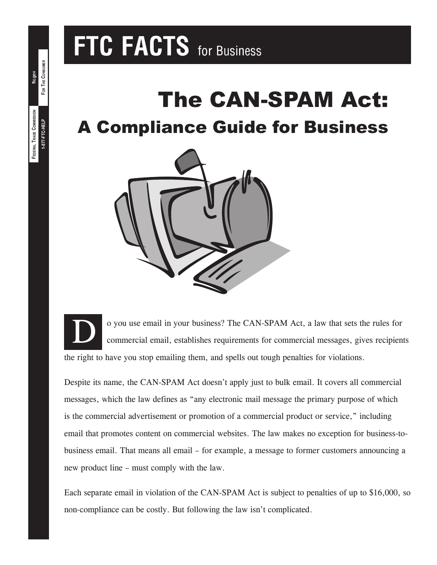# **FTC FACTS** for Business

## The CAN-SPAM Act: A Compliance Guide for Business



D o you use email in your business? The CAN-SPAM Act, a law that sets the rules for commercial email, establishes requirements for commercial messages, gives recipients the right to have you stop emailing them, and spells out tough penalties for violations.

Despite its name, the CAN-SPAM Act doesn't apply just to bulk email. It covers all commercial messages, which the law defines as "any electronic mail message the primary purpose of which is the commercial advertisement or promotion of a commercial product or service," including email that promotes content on commercial websites. The law makes no exception for business-tobusiness email. That means all email – for example, a message to former customers announcing a new product line – must comply with the law.

Each separate email in violation of the CAN-SPAM Act is subject to penalties of up to \$16,000, so non-compliance can be costly. But following the law isn't complicated.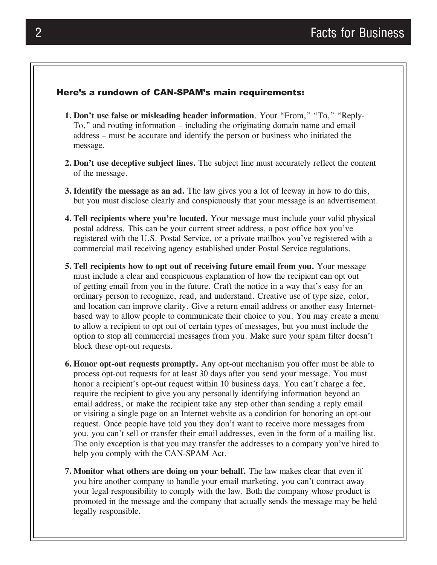#### Here's a rundown of CAN-SPAM's main requirements:

- **1. Don't use false or misleading header information**. Your "From," "To," "Reply-To," and routing information – including the originating domain name and email address – must be accurate and identify the person or business who initiated the message.
- **2. Don't use deceptive subject lines.** The subject line must accurately reflect the content of the message.
- **3.Identify the message as an ad.** The law gives you a lot of leeway in how to do this, but you must disclose clearly and conspicuously that your message is an advertisement.
- **4. Tell recipients where you're located.** Your message must include your valid physical postal address. This can be your current street address, a post office box you've registered with the U.S. Postal Service, or a private mailbox you've registered with a commercial mail receiving agency established under Postal Service regulations.
- **5. Tell recipients how to opt out of receiving future email from you.** Your message must include a clear and conspicuous explanation of how the recipient can opt out of getting email from you in the future. Craft the notice in a way that's easy for an ordinary person to recognize, read, and understand. Creative use of type size, color, and location can improve clarity. Give a return email address or another easy Internetbased way to allow people to communicate their choice to you. You may create a menu to allow a recipient to opt out of certain types of messages, but you must include the option to stop all commercial messages from you. Make sure your spam filter doesn't block these opt-out requests.
- **6. Honor opt-out requests promptly.** Any opt-out mechanism you offer must be able to process opt-out requests for at least 30 days after you send your message. You must honor a recipient's opt-out request within 10 business days. You can't charge a fee, require the recipient to give you any personally identifying information beyond an email address, or make the recipient take any step other than sending a reply email or visiting a single page on an Internet website as a condition for honoring an opt-out request. Once people have told you they don't want to receive more messages from you, you can't sell or transfer their email addresses, even in the form of a mailing list. The only exception is that you may transfer the addresses to a company you've hired to help you comply with the CAN-SPAM Act.
- **7. Monitor what others are doing on your behalf.** The law makes clear that even if you hire another company to handle your email marketing, you can't contract away your legal responsibility to comply with the law. Both the company whose product is promoted in the message and the company that actually sends the message may be held legally responsible.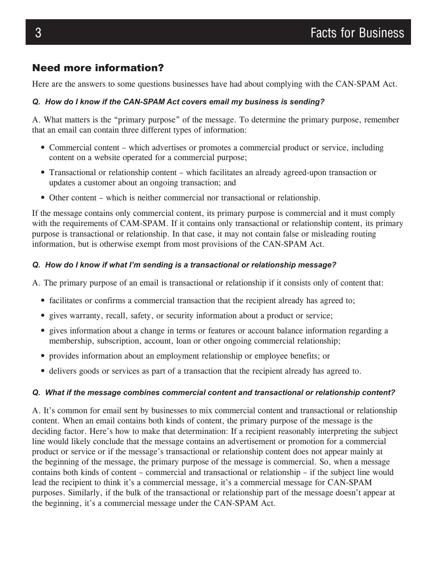#### Need more information?

Here are the answers to some questions businesses have had about complying with the CAN-SPAM Act.

#### *Q. How do I know if the CAN-SPAM Act covers email my business is sending?*

A. What matters is the "primary purpose" of the message. To determine the primary purpose, remember that an email can contain three different types of information:

- Commercial content which advertises or promotes a commercial product or service, including content on a website operated for a commercial purpose;
- Transactional or relationship content which facilitates an already agreed-upon transaction or updates a customer about an ongoing transaction; and
- Other content which is neither commercial nor transactional or relationship.

If the message contains only commercial content, its primary purpose is commercial and it must comply with the requirements of CAM-SPAM. If it contains only transactional or relationship content, its primary purpose is transactional or relationship. In that case, it may not contain false or misleading routing information, but is otherwise exempt from most provisions of the CAN-SPAM Act.

#### *Q. How do I know if what I'm sending is a transactional or relationship message?*

A. The primary purpose of an email is transactional or relationship if it consists only of content that:

- facilitates or confirms a commercial transaction that the recipient already has agreed to;
- gives warranty, recall, safety, or security information about a product or service;
- gives information about a change in terms or features or account balance information regarding a membership, subscription, account, loan or other ongoing commercial relationship;
- provides information about an employment relationship or employee benefits; or
- delivers goods or services as part of a transaction that the recipient already has agreed to.

#### *Q. What if the message combines commercial content and transactional or relationship content?*

A. It's common for email sent by businesses to mix commercial content and transactional or relationship content. When an email contains both kinds of content, the primary purpose of the message is the deciding factor. Here's how to make that determination: If a recipient reasonably interpreting the subject line would likely conclude that the message contains an advertisement or promotion for a commercial product or service or if the message's transactional or relationship content does not appear mainly at the beginning of the message, the primary purpose of the message is commercial. So, when a message contains both kinds of content – commercial and transactional or relationship – if the subject line would lead the recipient to think it's a commercial message, it's a commercial message for CAN-SPAM purposes. Similarly, if the bulk of the transactional or relationship part of the message doesn't appear at the beginning, it's a commercial message under the CAN-SPAM Act.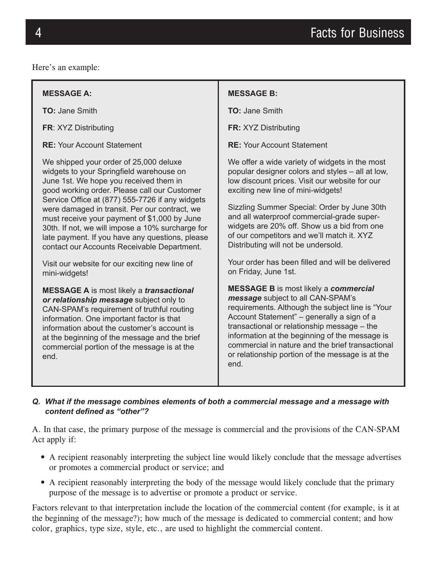### **4 Facts for Business**

Here's an example:

| <b>MESSAGE A:</b>                                                                                                                                                                                                                                                                                                                                   | <b>MESSAGE B:</b>                                                                                                                                                                                                                                                                                                                                                                                    |
|-----------------------------------------------------------------------------------------------------------------------------------------------------------------------------------------------------------------------------------------------------------------------------------------------------------------------------------------------------|------------------------------------------------------------------------------------------------------------------------------------------------------------------------------------------------------------------------------------------------------------------------------------------------------------------------------------------------------------------------------------------------------|
| <b>TO: Jane Smith</b>                                                                                                                                                                                                                                                                                                                               | <b>TO: Jane Smith</b>                                                                                                                                                                                                                                                                                                                                                                                |
| FR: XYZ Distributing                                                                                                                                                                                                                                                                                                                                | FR: XYZ Distributing                                                                                                                                                                                                                                                                                                                                                                                 |
| <b>RE: Your Account Statement</b>                                                                                                                                                                                                                                                                                                                   | <b>RE: Your Account Statement</b>                                                                                                                                                                                                                                                                                                                                                                    |
| We shipped your order of 25,000 deluxe<br>widgets to your Springfield warehouse on<br>June 1st. We hope you received them in<br>good working order. Please call our Customer<br>Service Office at (877) 555-7726 if any widgets                                                                                                                     | We offer a wide variety of widgets in the most<br>popular designer colors and styles - all at low,<br>low discount prices. Visit our website for our<br>exciting new line of mini-widgets!                                                                                                                                                                                                           |
| were damaged in transit. Per our contract, we<br>must receive your payment of \$1,000 by June<br>30th. If not, we will impose a 10% surcharge for<br>late payment. If you have any questions, please<br>contact our Accounts Receivable Department.                                                                                                 | Sizzling Summer Special: Order by June 30th<br>and all waterproof commercial-grade super-<br>widgets are 20% off. Show us a bid from one<br>of our competitors and we'll match it. XYZ<br>Distributing will not be undersold.                                                                                                                                                                        |
| Visit our website for our exciting new line of<br>mini-widgets!                                                                                                                                                                                                                                                                                     | Your order has been filled and will be delivered<br>on Friday, June 1st.                                                                                                                                                                                                                                                                                                                             |
| <b>MESSAGE A</b> is most likely a <i>transactional</i><br>or relationship message subject only to<br>CAN-SPAM's requirement of truthful routing<br>information. One important factor is that<br>information about the customer's account is<br>at the beginning of the message and the brief<br>commercial portion of the message is at the<br>end. | <b>MESSAGE B</b> is most likely a commercial<br>message subject to all CAN-SPAM's<br>requirements. Although the subject line is "Your<br>Account Statement" - generally a sign of a<br>transactional or relationship message - the<br>information at the beginning of the message is<br>commercial in nature and the brief transactional<br>or relationship portion of the message is at the<br>end. |

#### *Q. What if the message combines elements of both a commercial message and a message with content defined as "other"?*

A. In that case, the primary purpose of the message is commercial and the provisions of the CAN-SPAM Act apply if:

- A recipient reasonably interpreting the subject line would likely conclude that the message advertises or promotes a commercial product or service; and
- A recipient reasonably interpreting the body of the message would likely conclude that the primary purpose of the message is to advertise or promote a product or service.

Factors relevant to that interpretation include the location of the commercial content (for example, is it at the beginning of the message?); how much of the message is dedicated to commercial content; and how color, graphics, type size, style, etc., are used to highlight the commercial content.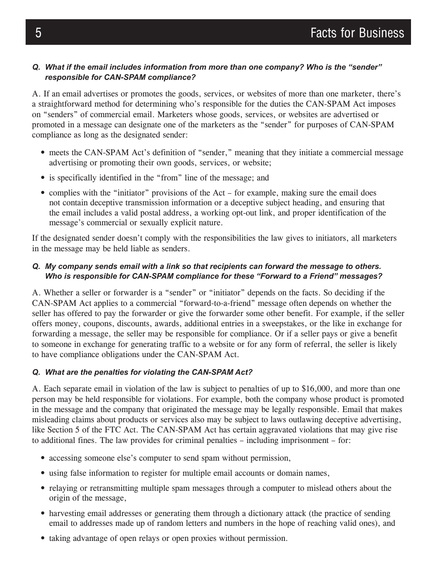#### *Q. What if the email includes information from more than one company? Who is the "sender" responsible for CAN-SPAM compliance?*

A. If an email advertises or promotes the goods, services, or websites of more than one marketer, there's a straightforward method for determining who's responsible for the duties the CAN-SPAM Act imposes on "senders" of commercial email. Marketers whose goods, services, or websites are advertised or promoted in a message can designate one of the marketers as the "sender" for purposes of CAN-SPAM compliance as long as the designated sender:

- meets the CAN-SPAM Act's definition of "sender," meaning that they initiate a commercial message advertising or promoting their own goods, services, or website;
- is specifically identified in the "from" line of the message; and
- complies with the "initiator" provisions of the Act for example, making sure the email does not contain deceptive transmission information or a deceptive subject heading, and ensuring that the email includes a valid postal address, a working opt-out link, and proper identification of the message's commercial or sexually explicit nature.

If the designated sender doesn't comply with the responsibilities the law gives to initiators, all marketers in the message may be held liable as senders.

#### *Q. My company sends email with a link so that recipients can forward the message to others. Who is responsible for CAN-SPAM compliance for these "Forward to a Friend" messages?*

A. Whether a seller or forwarder is a "sender" or "initiator" depends on the facts. So deciding if the CAN-SPAM Act applies to a commercial "forward-to-a-friend" message often depends on whether the seller has offered to pay the forwarder or give the forwarder some other benefit. For example, if the seller offers money, coupons, discounts, awards, additional entries in a sweepstakes, or the like in exchange for forwarding a message, the seller may be responsible for compliance. Or if a seller pays or give a benefit to someone in exchange for generating traffic to a website or for any form of referral, the seller is likely to have compliance obligations under the CAN-SPAM Act.

#### *Q. What are the penalties for violating the CAN-SPAM Act?*

A. Each separate email in violation of the law is subject to penalties of up to \$16,000, and more than one person may be held responsible for violations. For example, both the company whose product is promoted in the message and the company that originated the message may be legally responsible. Email that makes misleading claims about products or services also may be subject to laws outlawing deceptive advertising, like Section 5 of the FTC Act. The CAN-SPAM Act has certain aggravated violations that may give rise to additional fines. The law provides for criminal penalties – including imprisonment – for:

- accessing someone else's computer to send spam without permission,
- using false information to register for multiple email accounts or domain names,
- relaying or retransmitting multiple spam messages through a computer to mislead others about the origin of the message,
- harvesting email addresses or generating them through a dictionary attack (the practice of sending email to addresses made up of random letters and numbers in the hope of reaching valid ones), and
- taking advantage of open relays or open proxies without permission.